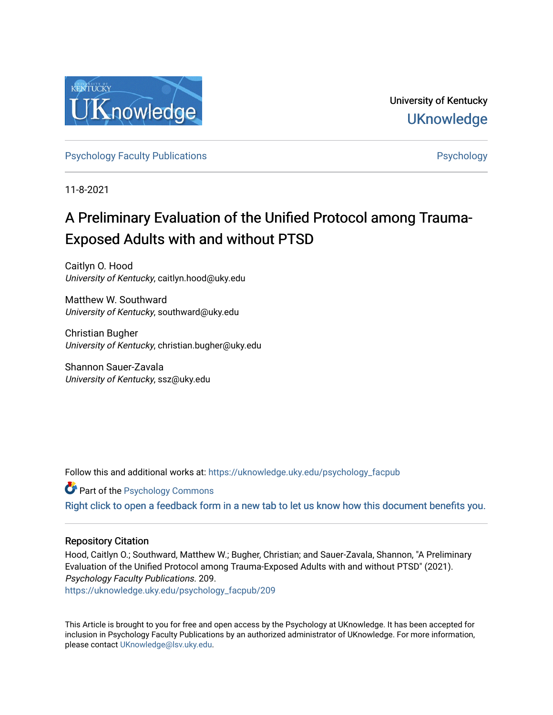

University of Kentucky **UKnowledge** 

[Psychology Faculty Publications](https://uknowledge.uky.edu/psychology_facpub) **Psychology** [Psychology](https://uknowledge.uky.edu/psychology) **Psychology** 

11-8-2021

# A Preliminary Evaluation of the Unified Protocol among Trauma-Exposed Adults with and without PTSD

Caitlyn O. Hood University of Kentucky, caitlyn.hood@uky.edu

Matthew W. Southward University of Kentucky, southward@uky.edu

Christian Bugher University of Kentucky, christian.bugher@uky.edu

Shannon Sauer-Zavala University of Kentucky, ssz@uky.edu

Follow this and additional works at: [https://uknowledge.uky.edu/psychology\\_facpub](https://uknowledge.uky.edu/psychology_facpub?utm_source=uknowledge.uky.edu%2Fpsychology_facpub%2F209&utm_medium=PDF&utm_campaign=PDFCoverPages)

**C** Part of the Psychology Commons

[Right click to open a feedback form in a new tab to let us know how this document benefits you.](https://uky.az1.qualtrics.com/jfe/form/SV_9mq8fx2GnONRfz7)

### Repository Citation

Hood, Caitlyn O.; Southward, Matthew W.; Bugher, Christian; and Sauer-Zavala, Shannon, "A Preliminary Evaluation of the Unified Protocol among Trauma-Exposed Adults with and without PTSD" (2021). Psychology Faculty Publications. 209.

[https://uknowledge.uky.edu/psychology\\_facpub/209](https://uknowledge.uky.edu/psychology_facpub/209?utm_source=uknowledge.uky.edu%2Fpsychology_facpub%2F209&utm_medium=PDF&utm_campaign=PDFCoverPages)

This Article is brought to you for free and open access by the Psychology at UKnowledge. It has been accepted for inclusion in Psychology Faculty Publications by an authorized administrator of UKnowledge. For more information, please contact [UKnowledge@lsv.uky.edu.](mailto:UKnowledge@lsv.uky.edu)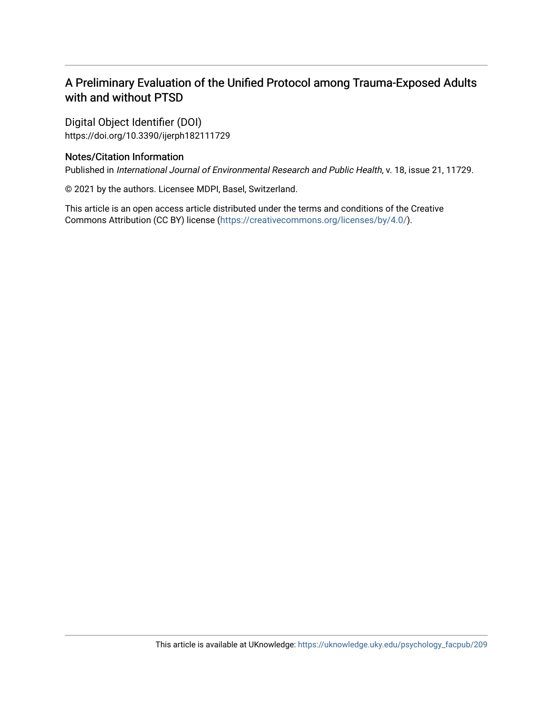## A Preliminary Evaluation of the Unified Protocol among Trauma-Exposed Adults with and without PTSD

Digital Object Identifier (DOI) https://doi.org/10.3390/ijerph182111729

### Notes/Citation Information

Published in International Journal of Environmental Research and Public Health, v. 18, issue 21, 11729.

© 2021 by the authors. Licensee MDPI, Basel, Switzerland.

This article is an open access article distributed under the terms and conditions of the Creative Commons Attribution (CC BY) license ([https://creativecommons.org/licenses/by/4.0/\)](https://creativecommons.org/licenses/by/4.0/).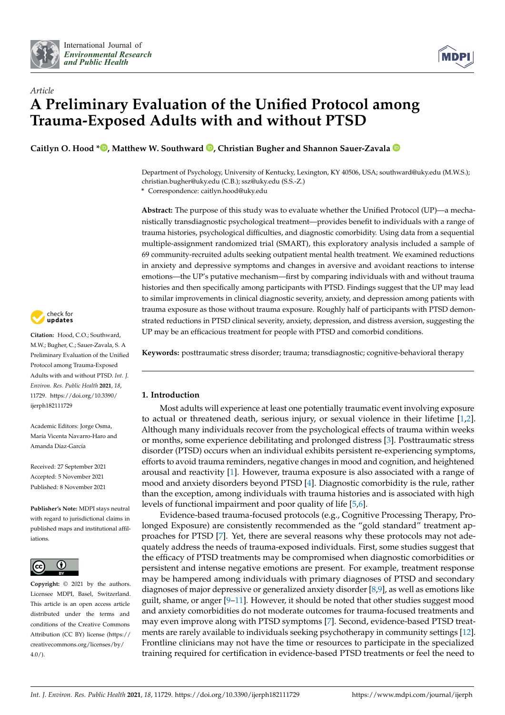



# *Article* **A Preliminary Evaluation of the Unified Protocol among Trauma-Exposed Adults with and without PTSD**

**Caitlyn O. Hood \* [,](https://orcid.org/0000-0002-4147-5366) Matthew W. Southward [,](https://orcid.org/0000-0002-5888-2769) Christian Bugher and Shannon Sauer-Zavala**

Department of Psychology, University of Kentucky, Lexington, KY 40506, USA; southward@uky.edu (M.W.S.); christian.bugher@uky.edu (C.B.); ssz@uky.edu (S.S.-Z.)

**\*** Correspondence: caitlyn.hood@uky.edu

**Abstract:** The purpose of this study was to evaluate whether the Unified Protocol (UP)—a mechanistically transdiagnostic psychological treatment—provides benefit to individuals with a range of trauma histories, psychological difficulties, and diagnostic comorbidity. Using data from a sequential multiple-assignment randomized trial (SMART), this exploratory analysis included a sample of 69 community-recruited adults seeking outpatient mental health treatment. We examined reductions in anxiety and depressive symptoms and changes in aversive and avoidant reactions to intense emotions—the UP's putative mechanism—first by comparing individuals with and without trauma histories and then specifically among participants with PTSD. Findings suggest that the UP may lead to similar improvements in clinical diagnostic severity, anxiety, and depression among patients with trauma exposure as those without trauma exposure. Roughly half of participants with PTSD demonstrated reductions in PTSD clinical severity, anxiety, depression, and distress aversion, suggesting the UP may be an efficacious treatment for people with PTSD and comorbid conditions.

**Keywords:** posttraumatic stress disorder; trauma; transdiagnostic; cognitive-behavioral therapy

#### **1. Introduction**

Most adults will experience at least one potentially traumatic event involving exposure to actual or threatened death, serious injury, or sexual violence in their lifetime [\[1,](#page-12-0)[2\]](#page-12-1). Although many individuals recover from the psychological effects of trauma within weeks or months, some experience debilitating and prolonged distress [\[3\]](#page-12-2). Posttraumatic stress disorder (PTSD) occurs when an individual exhibits persistent re-experiencing symptoms, efforts to avoid trauma reminders, negative changes in mood and cognition, and heightened arousal and reactivity [\[1\]](#page-12-0). However, trauma exposure is also associated with a range of mood and anxiety disorders beyond PTSD [\[4\]](#page-12-3). Diagnostic comorbidity is the rule, rather than the exception, among individuals with trauma histories and is associated with high levels of functional impairment and poor quality of life [\[5](#page-12-4)[,6\]](#page-12-5).

Evidence-based trauma-focused protocols (e.g., Cognitive Processing Therapy, Prolonged Exposure) are consistently recommended as the "gold standard" treatment approaches for PTSD [\[7\]](#page-12-6). Yet, there are several reasons why these protocols may not adequately address the needs of trauma-exposed individuals. First, some studies suggest that the efficacy of PTSD treatments may be compromised when diagnostic comorbidities or persistent and intense negative emotions are present. For example, treatment response may be hampered among individuals with primary diagnoses of PTSD and secondary diagnoses of major depressive or generalized anxiety disorder  $[8,9]$  $[8,9]$ , as well as emotions like guilt, shame, or anger [\[9](#page-12-8)[–11\]](#page-12-9). However, it should be noted that other studies suggest mood and anxiety comorbidities do not moderate outcomes for trauma-focused treatments and may even improve along with PTSD symptoms [\[7\]](#page-12-6). Second, evidence-based PTSD treatments are rarely available to individuals seeking psychotherapy in community settings [\[12\]](#page-12-10). Frontline clinicians may not have the time or resources to participate in the specialized training required for certification in evidence-based PTSD treatments or feel the need to



Citation: Hood, C.O.; Southward, M.W.; Bugher, C.; Sauer-Zavala, S. A Preliminary Evaluation of the Unified Protocol among Trauma-Exposed Adults with and without PTSD. *Int. J. Environ. Res. Public Health* **2021**, *18*, 11729. [https://doi.org/10.3390/](https://doi.org/10.3390/ijerph182111729) [ijerph182111729](https://doi.org/10.3390/ijerph182111729)

Academic Editors: Jorge Osma, María Vicenta Navarro-Haro and Amanda Díaz-García

Received: 27 September 2021 Accepted: 5 November 2021 Published: 8 November 2021

**Publisher's Note:** MDPI stays neutral with regard to jurisdictional claims in published maps and institutional affiliations.



**Copyright:** © 2021 by the authors. Licensee MDPI, Basel, Switzerland. This article is an open access article distributed under the terms and conditions of the Creative Commons Attribution (CC BY) license (https:/[/](https://creativecommons.org/licenses/by/4.0/) [creativecommons.org/licenses/by/](https://creativecommons.org/licenses/by/4.0/)  $4.0/$ ).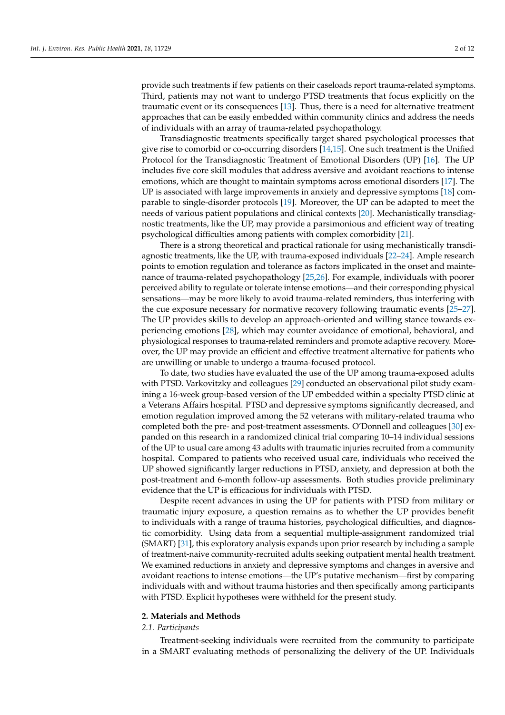provide such treatments if few patients on their caseloads report trauma-related symptoms. Third, patients may not want to undergo PTSD treatments that focus explicitly on the traumatic event or its consequences [\[13\]](#page-12-11). Thus, there is a need for alternative treatment approaches that can be easily embedded within community clinics and address the needs of individuals with an array of trauma-related psychopathology.

Transdiagnostic treatments specifically target shared psychological processes that give rise to comorbid or co-occurring disorders [\[14](#page-12-12)[,15\]](#page-12-13). One such treatment is the Unified Protocol for the Transdiagnostic Treatment of Emotional Disorders (UP) [\[16\]](#page-12-14). The UP includes five core skill modules that address aversive and avoidant reactions to intense emotions, which are thought to maintain symptoms across emotional disorders [\[17\]](#page-12-15). The UP is associated with large improvements in anxiety and depressive symptoms [\[18\]](#page-12-16) comparable to single-disorder protocols [\[19\]](#page-12-17). Moreover, the UP can be adapted to meet the needs of various patient populations and clinical contexts [\[20\]](#page-12-18). Mechanistically transdiagnostic treatments, like the UP, may provide a parsimonious and efficient way of treating psychological difficulties among patients with complex comorbidity [\[21\]](#page-12-19).

There is a strong theoretical and practical rationale for using mechanistically transdiagnostic treatments, like the UP, with trauma-exposed individuals [\[22–](#page-12-20)[24\]](#page-12-21). Ample research points to emotion regulation and tolerance as factors implicated in the onset and maintenance of trauma-related psychopathology [\[25](#page-13-0)[,26\]](#page-13-1). For example, individuals with poorer perceived ability to regulate or tolerate intense emotions—and their corresponding physical sensations—may be more likely to avoid trauma-related reminders, thus interfering with the cue exposure necessary for normative recovery following traumatic events [\[25](#page-13-0)[–27\]](#page-13-2). The UP provides skills to develop an approach-oriented and willing stance towards experiencing emotions [\[28\]](#page-13-3), which may counter avoidance of emotional, behavioral, and physiological responses to trauma-related reminders and promote adaptive recovery. Moreover, the UP may provide an efficient and effective treatment alternative for patients who are unwilling or unable to undergo a trauma-focused protocol.

To date, two studies have evaluated the use of the UP among trauma-exposed adults with PTSD. Varkovitzky and colleagues [\[29\]](#page-13-4) conducted an observational pilot study examining a 16-week group-based version of the UP embedded within a specialty PTSD clinic at a Veterans Affairs hospital. PTSD and depressive symptoms significantly decreased, and emotion regulation improved among the 52 veterans with military-related trauma who completed both the pre- and post-treatment assessments. O'Donnell and colleagues [\[30\]](#page-13-5) expanded on this research in a randomized clinical trial comparing 10–14 individual sessions of the UP to usual care among 43 adults with traumatic injuries recruited from a community hospital. Compared to patients who received usual care, individuals who received the UP showed significantly larger reductions in PTSD, anxiety, and depression at both the post-treatment and 6-month follow-up assessments. Both studies provide preliminary evidence that the UP is efficacious for individuals with PTSD.

Despite recent advances in using the UP for patients with PTSD from military or traumatic injury exposure, a question remains as to whether the UP provides benefit to individuals with a range of trauma histories, psychological difficulties, and diagnostic comorbidity. Using data from a sequential multiple-assignment randomized trial (SMART) [\[31\]](#page-13-6), this exploratory analysis expands upon prior research by including a sample of treatment-naive community-recruited adults seeking outpatient mental health treatment. We examined reductions in anxiety and depressive symptoms and changes in aversive and avoidant reactions to intense emotions—the UP's putative mechanism—first by comparing individuals with and without trauma histories and then specifically among participants with PTSD. Explicit hypotheses were withheld for the present study.

#### **2. Materials and Methods**

#### *2.1. Participants*

Treatment-seeking individuals were recruited from the community to participate in a SMART evaluating methods of personalizing the delivery of the UP. Individuals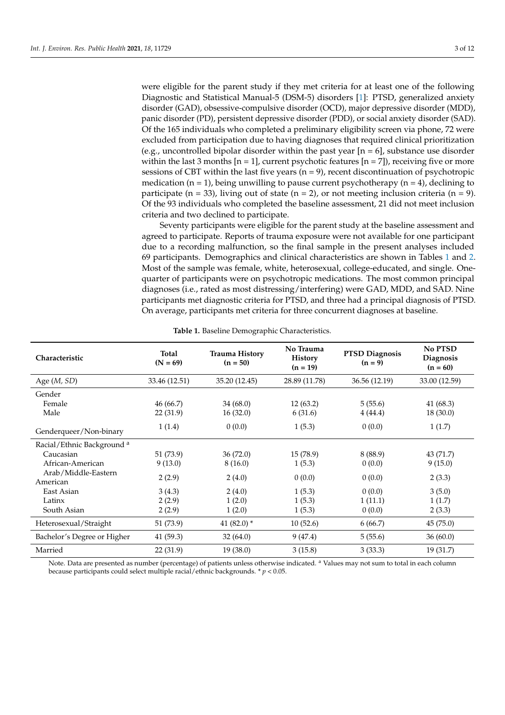were eligible for the parent study if they met criteria for at least one of the following Diagnostic and Statistical Manual-5 (DSM-5) disorders [\[1\]](#page-12-0): PTSD, generalized anxiety disorder (GAD), obsessive-compulsive disorder (OCD), major depressive disorder (MDD), panic disorder (PD), persistent depressive disorder (PDD), or social anxiety disorder (SAD). Of the 165 individuals who completed a preliminary eligibility screen via phone, 72 were excluded from participation due to having diagnoses that required clinical prioritization (e.g., uncontrolled bipolar disorder within the past year  $[n = 6]$ , substance use disorder within the last 3 months  $[n = 1]$ , current psychotic features  $[n = 7]$ , receiving five or more sessions of CBT within the last five years ( $n = 9$ ), recent discontinuation of psychotropic medication ( $n = 1$ ), being unwilling to pause current psychotherapy ( $n = 4$ ), declining to participate (n = 33), living out of state (n = 2), or not meeting inclusion criteria (n = 9). Of the 93 individuals who completed the baseline assessment, 21 did not meet inclusion

Seventy participants were eligible for the parent study at the baseline assessment and agreed to participate. Reports of trauma exposure were not available for one participant due to a recording malfunction, so the final sample in the present analyses included 69 participants. Demographics and clinical characteristics are shown in Tables [1](#page-4-0) and [2.](#page-5-0) Most of the sample was female, white, heterosexual, college-educated, and single. Onequarter of participants were on psychotropic medications. The most common principal diagnoses (i.e., rated as most distressing/interfering) were GAD, MDD, and SAD. Nine participants met diagnostic criteria for PTSD, and three had a principal diagnosis of PTSD. On average, participants met criteria for three concurrent diagnoses at baseline.

<span id="page-4-0"></span>

| Characteristic                        | <b>Total</b><br>$(N = 69)$ | <b>Trauma History</b><br>$(n = 50)$ | No Trauma<br><b>History</b><br>$(n = 19)$ | <b>PTSD Diagnosis</b><br>$(n = 9)$ | No PTSD<br>Diagnosis<br>$(n = 60)$ |  |
|---------------------------------------|----------------------------|-------------------------------------|-------------------------------------------|------------------------------------|------------------------------------|--|
| Age $(M, SD)$                         | 33.46 (12.51)              | 35.20 (12.45)                       | 28.89 (11.78)                             | 36.56 (12.19)                      | 33.00 (12.59)                      |  |
| Gender<br>Female<br>Male              | 46(66.7)<br>22(31.9)       | 34(68.0)<br>16(32.0)                | 12(63.2)<br>6(31.6)                       | 5(55.6)<br>4(44.4)                 | 41(68.3)<br>18 (30.0)              |  |
| Genderqueer/Non-binary                | 1(1.4)                     | 0(0.0)                              | 1(5.3)                                    | 0(0.0)                             | 1(1.7)                             |  |
| Racial/Ethnic Background <sup>a</sup> |                            |                                     |                                           |                                    |                                    |  |
| Caucasian                             | 51 (73.9)                  | 36 (72.0)                           | 15 (78.9)                                 | 8 (88.9)                           | 43 (71.7)                          |  |
| African-American                      | 9(13.0)                    | 8(16.0)                             | 1(5.3)                                    | 0(0.0)                             | 9(15.0)                            |  |
| Arab/Middle-Eastern<br>American       | 2(2.9)                     | 2(4.0)                              | 0(0.0)                                    | 0(0.0)                             | 2(3.3)                             |  |
| East Asian                            | 3(4.3)                     | 2(4.0)                              | 1(5.3)                                    | 0(0.0)                             | 3(5.0)                             |  |
| Latinx                                | 2(2.9)                     | 1(2.0)                              | 1(5.3)                                    | 1(11.1)                            | 1(1.7)                             |  |
| South Asian                           | 2(2.9)                     | 1(2.0)                              | 1(5.3)                                    | 0(0.0)                             | 2(3.3)                             |  |
| Heterosexual/Straight                 | 51 (73.9)                  | 41 $(82.0)$ *                       | 10(52.6)                                  | 6(66.7)                            | 45(75.0)                           |  |
| Bachelor's Degree or Higher           | 41 (59.3)                  | 32 (64.0)                           | 9(47.4)                                   | 5(55.6)                            | 36(60.0)                           |  |
| Married                               | 22 (31.9)                  | 19(38.0)                            | 3(15.8)                                   | 3(33.3)                            | 19 (31.7)                          |  |

#### **Table 1.** Baseline Demographic Characteristics.

criteria and two declined to participate.

Note. Data are presented as number (percentage) of patients unless otherwise indicated. <sup>a</sup> Values may not sum to total in each column because participants could select multiple racial/ethnic backgrounds. \* *p* < 0.05.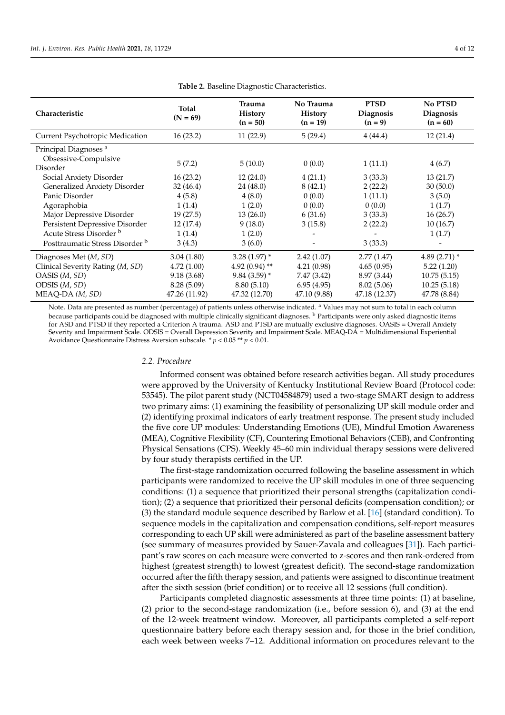<span id="page-5-0"></span>

| Characteristic                                                       | Total<br>$(N = 69)$ | <b>Trauma</b><br><b>History</b><br>$(n = 50)$ | No Trauma<br><b>History</b><br>$(n = 19)$ | <b>PTSD</b><br><b>Diagnosis</b><br>$(n = 9)$ | <b>No PTSD</b><br><b>Diagnosis</b><br>$(n = 60)$ |
|----------------------------------------------------------------------|---------------------|-----------------------------------------------|-------------------------------------------|----------------------------------------------|--------------------------------------------------|
| Current Psychotropic Medication                                      | 16(23.2)            | 11(22.9)                                      | 5(29.4)                                   | 4(44.4)                                      | 12(21.4)                                         |
| Principal Diagnoses <sup>a</sup><br>Obsessive-Compulsive<br>Disorder | 5(7.2)              | 5(10.0)                                       | 0(0.0)                                    | 1(11.1)                                      | 4(6.7)                                           |
| Social Anxiety Disorder                                              | 16(23.2)            | 12(24.0)                                      | 4(21.1)                                   | 3(33.3)                                      | 13(21.7)                                         |
| Generalized Anxiety Disorder                                         | 32(46.4)            | 24 (48.0)                                     | 8(42.1)                                   | 2(22.2)                                      | 30(50.0)                                         |
| Panic Disorder                                                       | 4(5.8)              | 4(8.0)                                        | 0(0.0)                                    | 1(11.1)                                      | 3(5.0)                                           |
| Agoraphobia                                                          | 1(1.4)              | 1(2.0)                                        | 0(0.0)                                    | 0(0.0)                                       | 1(1.7)                                           |
| Major Depressive Disorder                                            | 19(27.5)            | 13(26.0)                                      | 6(31.6)                                   | 3(33.3)                                      | 16(26.7)                                         |
| Persistent Depressive Disorder                                       | 12 (17.4)           | 9(18.0)                                       | 3(15.8)                                   | 2(22.2)                                      | 10(16.7)                                         |
| Acute Stress Disorder b<br>Posttraumatic Stress Disorder b           | 1(1.4)<br>3(4.3)    | 1(2.0)<br>3(6.0)                              |                                           | 3(33.3)                                      | 1(1.7)<br>-                                      |
| Diagnoses Met (M, SD)                                                | 3.04(1.80)          | 3.28 $(1.97)$ *                               | 2.42(1.07)                                | 2.77(1.47)                                   | 4.89 $(2.71)$ *                                  |
| Clinical Severity Rating (M, SD)                                     | 4.72(1.00)          | 4.92 $(0.94)$ **                              | 4.21(0.98)                                | 4.65(0.95)                                   | 5.22(1.20)                                       |
| OASIS (M, SD)                                                        | 9.18(3.68)          | $9.84(3.59)$ *                                | 7.47(3.42)                                | 8.97 (3.44)                                  | 10.75(5.15)                                      |
| ODSIS (M, SD)                                                        | 8.28(5.09)          | 8.80(5.10)                                    | 6.95(4.95)                                | 8.02(5.06)                                   | 10.25(5.18)                                      |
| MEAQ-DA (M, SD)                                                      | 47.26 (11.92)       | 47.32 (12.70)                                 | 47.10 (9.88)                              | 47.18 (12.37)                                | 47.78 (8.84)                                     |

**Table 2.** Baseline Diagnostic Characteristics.

Note. Data are presented as number (percentage) of patients unless otherwise indicated. <sup>a</sup> Values may not sum to total in each column because participants could be diagnosed with multiple clinically significant diagnoses. <sup>b</sup> Participants were only asked diagnostic items for ASD and PTSD if they reported a Criterion A trauma. ASD and PTSD are mutually exclusive diagnoses. OASIS = Overall Anxiety Severity and Impairment Scale. ODSIS = Overall Depression Severity and Impairment Scale. MEAQ-DA = Multidimensional Experiential Avoidance Questionnaire Distress Aversion subscale. \* *p* < 0.05 \*\* *p* < 0.01.

#### *2.2. Procedure*

Informed consent was obtained before research activities began. All study procedures were approved by the University of Kentucky Institutional Review Board (Protocol code: 53545). The pilot parent study (NCT04584879) used a two-stage SMART design to address two primary aims: (1) examining the feasibility of personalizing UP skill module order and (2) identifying proximal indicators of early treatment response. The present study included the five core UP modules: Understanding Emotions (UE), Mindful Emotion Awareness (MEA), Cognitive Flexibility (CF), Countering Emotional Behaviors (CEB), and Confronting Physical Sensations (CPS). Weekly 45–60 min individual therapy sessions were delivered by four study therapists certified in the UP.

The first-stage randomization occurred following the baseline assessment in which participants were randomized to receive the UP skill modules in one of three sequencing conditions: (1) a sequence that prioritized their personal strengths (capitalization condition); (2) a sequence that prioritized their personal deficits (compensation condition); or (3) the standard module sequence described by Barlow et al. [\[16\]](#page-12-14) (standard condition). To sequence models in the capitalization and compensation conditions, self-report measures corresponding to each UP skill were administered as part of the baseline assessment battery (see summary of measures provided by Sauer-Zavala and colleagues [\[31\]](#page-13-6)). Each participant's raw scores on each measure were converted to z-scores and then rank-ordered from highest (greatest strength) to lowest (greatest deficit). The second-stage randomization occurred after the fifth therapy session, and patients were assigned to discontinue treatment after the sixth session (brief condition) or to receive all 12 sessions (full condition).

Participants completed diagnostic assessments at three time points: (1) at baseline, (2) prior to the second-stage randomization (i.e., before session 6), and (3) at the end of the 12-week treatment window. Moreover, all participants completed a self-report questionnaire battery before each therapy session and, for those in the brief condition, each week between weeks 7–12. Additional information on procedures relevant to the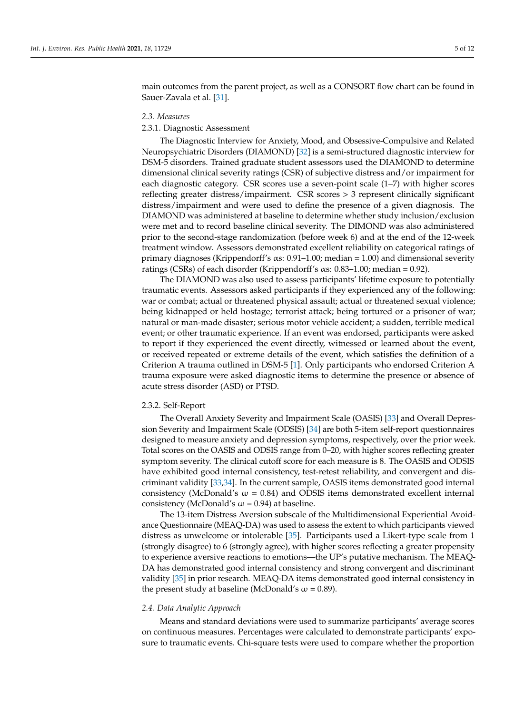main outcomes from the parent project, as well as a CONSORT flow chart can be found in Sauer-Zavala et al. [\[31\]](#page-13-6).

#### *2.3. Measures*

#### 2.3.1. Diagnostic Assessment

The Diagnostic Interview for Anxiety, Mood, and Obsessive-Compulsive and Related Neuropsychiatric Disorders (DIAMOND) [\[32\]](#page-13-7) is a semi-structured diagnostic interview for DSM-5 disorders. Trained graduate student assessors used the DIAMOND to determine dimensional clinical severity ratings (CSR) of subjective distress and/or impairment for each diagnostic category. CSR scores use a seven-point scale (1–7) with higher scores reflecting greater distress/impairment. CSR scores > 3 represent clinically significant distress/impairment and were used to define the presence of a given diagnosis. The DIAMOND was administered at baseline to determine whether study inclusion/exclusion were met and to record baseline clinical severity. The DIMOND was also administered prior to the second-stage randomization (before week 6) and at the end of the 12-week treatment window. Assessors demonstrated excellent reliability on categorical ratings of primary diagnoses (Krippendorff's αs: 0.91–1.00; median = 1.00) and dimensional severity ratings (CSRs) of each disorder (Krippendorff's  $\alpha$ s: 0.83–1.00; median = 0.92).

The DIAMOND was also used to assess participants' lifetime exposure to potentially traumatic events. Assessors asked participants if they experienced any of the following: war or combat; actual or threatened physical assault; actual or threatened sexual violence; being kidnapped or held hostage; terrorist attack; being tortured or a prisoner of war; natural or man-made disaster; serious motor vehicle accident; a sudden, terrible medical event; or other traumatic experience. If an event was endorsed, participants were asked to report if they experienced the event directly, witnessed or learned about the event, or received repeated or extreme details of the event, which satisfies the definition of a Criterion A trauma outlined in DSM-5 [\[1\]](#page-12-0). Only participants who endorsed Criterion A trauma exposure were asked diagnostic items to determine the presence or absence of acute stress disorder (ASD) or PTSD.

#### 2.3.2. Self-Report

The Overall Anxiety Severity and Impairment Scale (OASIS) [\[33\]](#page-13-8) and Overall Depression Severity and Impairment Scale (ODSIS) [\[34\]](#page-13-9) are both 5-item self-report questionnaires designed to measure anxiety and depression symptoms, respectively, over the prior week. Total scores on the OASIS and ODSIS range from 0–20, with higher scores reflecting greater symptom severity. The clinical cutoff score for each measure is 8. The OASIS and ODSIS have exhibited good internal consistency, test-retest reliability, and convergent and discriminant validity [\[33](#page-13-8)[,34\]](#page-13-9). In the current sample, OASIS items demonstrated good internal consistency (McDonald's  $\omega = 0.84$ ) and ODSIS items demonstrated excellent internal consistency (McDonald's  $\omega$  = 0.94) at baseline.

The 13-item Distress Aversion subscale of the Multidimensional Experiential Avoidance Questionnaire (MEAQ-DA) was used to assess the extent to which participants viewed distress as unwelcome or intolerable [\[35\]](#page-13-10). Participants used a Likert-type scale from 1 (strongly disagree) to 6 (strongly agree), with higher scores reflecting a greater propensity to experience aversive reactions to emotions—the UP's putative mechanism. The MEAQ-DA has demonstrated good internal consistency and strong convergent and discriminant validity [\[35\]](#page-13-10) in prior research. MEAQ-DA items demonstrated good internal consistency in the present study at baseline (McDonald's  $\omega$  = 0.89).

#### *2.4. Data Analytic Approach*

Means and standard deviations were used to summarize participants' average scores on continuous measures. Percentages were calculated to demonstrate participants' exposure to traumatic events. Chi-square tests were used to compare whether the proportion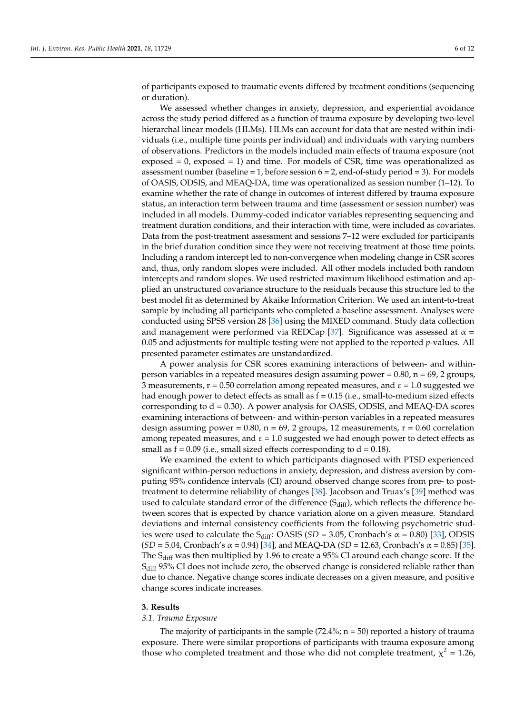of participants exposed to traumatic events differed by treatment conditions (sequencing or duration).

We assessed whether changes in anxiety, depression, and experiential avoidance across the study period differed as a function of trauma exposure by developing two-level hierarchal linear models (HLMs). HLMs can account for data that are nested within individuals (i.e., multiple time points per individual) and individuals with varying numbers of observations. Predictors in the models included main effects of trauma exposure (not exposed  $= 0$ , exposed  $= 1$ ) and time. For models of CSR, time was operationalized as assessment number (baseline  $= 1$ , before session  $6 = 2$ , end-of-study period  $= 3$ ). For models of OASIS, ODSIS, and MEAQ-DA, time was operationalized as session number (1–12). To examine whether the rate of change in outcomes of interest differed by trauma exposure status, an interaction term between trauma and time (assessment or session number) was included in all models. Dummy-coded indicator variables representing sequencing and treatment duration conditions, and their interaction with time, were included as covariates. Data from the post-treatment assessment and sessions 7–12 were excluded for participants in the brief duration condition since they were not receiving treatment at those time points. Including a random intercept led to non-convergence when modeling change in CSR scores and, thus, only random slopes were included. All other models included both random intercepts and random slopes. We used restricted maximum likelihood estimation and applied an unstructured covariance structure to the residuals because this structure led to the best model fit as determined by Akaike Information Criterion. We used an intent-to-treat sample by including all participants who completed a baseline assessment. Analyses were conducted using SPSS version 28 [\[36\]](#page-13-11) using the MIXED command. Study data collection and management were performed via REDCap [\[37\]](#page-13-12). Significance was assessed at  $\alpha$  = 0.05 and adjustments for multiple testing were not applied to the reported *p*-values. All presented parameter estimates are unstandardized.

A power analysis for CSR scores examining interactions of between- and withinperson variables in a repeated measures design assuming power =  $0.80$ , n =  $69$ , 2 groups, 3 measurements,  $r = 0.50$  correlation among repeated measures, and  $\varepsilon = 1.0$  suggested we had enough power to detect effects as small as  $f = 0.15$  (i.e., small-to-medium sized effects corresponding to  $d = 0.30$ ). A power analysis for OASIS, ODSIS, and MEAQ-DA scores examining interactions of between- and within-person variables in a repeated measures design assuming power =  $0.80$ , n =  $69$ , 2 groups, 12 measurements, r =  $0.60$  correlation among repeated measures, and  $\varepsilon = 1.0$  suggested we had enough power to detect effects as small as  $f = 0.09$  (i.e., small sized effects corresponding to  $d = 0.18$ ).

We examined the extent to which participants diagnosed with PTSD experienced significant within-person reductions in anxiety, depression, and distress aversion by computing 95% confidence intervals (CI) around observed change scores from pre- to posttreatment to determine reliability of changes [\[38\]](#page-13-13). Jacobson and Truax's [\[39\]](#page-13-14) method was used to calculate standard error of the difference  $(S_{diff})$ , which reflects the difference between scores that is expected by chance variation alone on a given measure. Standard deviations and internal consistency coefficients from the following psychometric studies were used to calculate the S<sub>diff</sub>: OASIS ( $SD = 3.05$ , Cronbach's  $\alpha = 0.80$ ) [\[33\]](#page-13-8), ODSIS  $(SD = 5.04$ , Cronbach's  $\alpha = 0.94$ ) [\[34\]](#page-13-9), and MEAQ-DA (*SD* = 12.63, Cronbach's  $\alpha = 0.85$ ) [\[35\]](#page-13-10). The  $S_{diff}$  was then multiplied by 1.96 to create a 95% CI around each change score. If the  $S<sub>diff</sub>$  95% CI does not include zero, the observed change is considered reliable rather than due to chance. Negative change scores indicate decreases on a given measure, and positive change scores indicate increases.

#### **3. Results**

#### *3.1. Trauma Exposure*

The majority of participants in the sample  $(72.4\%; n = 50)$  reported a history of trauma exposure. There were similar proportions of participants with trauma exposure among those who completed treatment and those who did not complete treatment,  $\chi^2 = 1.26$ ,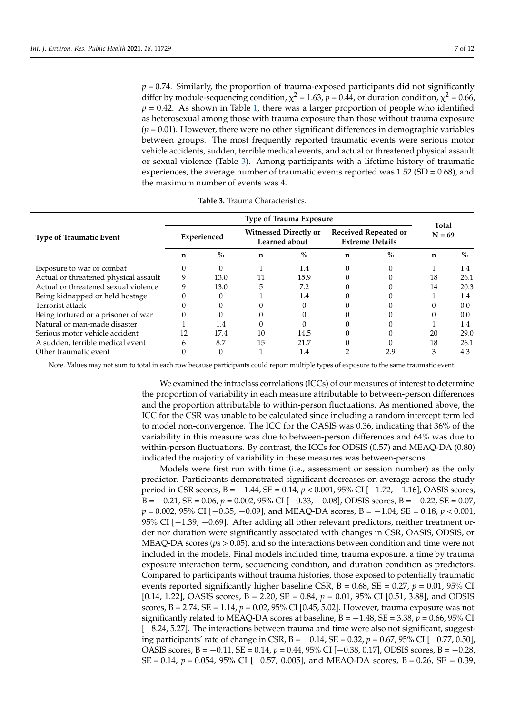*p* = 0.74. Similarly, the proportion of trauma-exposed participants did not significantly differ by module-sequencing condition,  $\chi^2$  = 1.63,  $p$  = 0.44, or duration condition,  $\chi^2$  = 0.66,  $p = 0.42$ . As shown in Table [1,](#page-4-0) there was a larger proportion of people who identified as heterosexual among those with trauma exposure than those without trauma exposure  $(p = 0.01)$ . However, there were no other significant differences in demographic variables between groups. The most frequently reported traumatic events were serious motor vehicle accidents, sudden, terrible medical events, and actual or threatened physical assault or sexual violence (Table [3\)](#page-8-0). Among participants with a lifetime history of traumatic experiences, the average number of traumatic events reported was  $1.52$  (SD = 0.68), and the maximum number of events was 4.

<span id="page-8-0"></span>

| Type of Trauma Exposure |      |    |      |                                                      |          |                                                       |              |
|-------------------------|------|----|------|------------------------------------------------------|----------|-------------------------------------------------------|--------------|
| Experienced             |      |    |      |                                                      | $N = 69$ |                                                       |              |
| n                       | $\%$ | n  | $\%$ | n                                                    | $\%$     | n                                                     | $\%$         |
|                         |      |    | 1.4  |                                                      |          |                                                       | 1.4          |
| 9                       | 13.0 |    | 15.9 |                                                      |          | 18                                                    | 26.1         |
|                         | 13.0 | 5  | 7.2  |                                                      |          | 14                                                    | 20.3         |
|                         |      |    | 1.4  |                                                      |          |                                                       | 1.4          |
|                         |      |    |      |                                                      |          |                                                       | 0.0          |
|                         |      |    |      |                                                      |          |                                                       | 0.0          |
|                         | 1.4  |    |      |                                                      |          |                                                       | 1.4          |
| 12                      | 17.4 | 10 | 14.5 |                                                      |          | 20                                                    | 29.0         |
| 6                       | 8.7  | 15 | 21.7 |                                                      |          | 18                                                    | 26.1         |
|                         |      |    | 1.4  |                                                      | 2.9      | 3                                                     | 4.3          |
|                         |      |    |      | <b>Witnessed Directly or</b><br><b>Learned about</b> |          | <b>Received Repeated or</b><br><b>Extreme Details</b> | <b>Total</b> |

**Table 3.** Trauma Characteristics.

Note. Values may not sum to total in each row because participants could report multiple types of exposure to the same traumatic event.

We examined the intraclass correlations (ICCs) of our measures of interest to determine the proportion of variability in each measure attributable to between-person differences and the proportion attributable to within-person fluctuations. As mentioned above, the ICC for the CSR was unable to be calculated since including a random intercept term led to model non-convergence. The ICC for the OASIS was 0.36, indicating that 36% of the variability in this measure was due to between-person differences and 64% was due to within-person fluctuations. By contrast, the ICCs for ODSIS (0.57) and MEAQ-DA (0.80) indicated the majority of variability in these measures was between-persons.

Models were first run with time (i.e., assessment or session number) as the only predictor. Participants demonstrated significant decreases on average across the study period in CSR scores, B = −1.44, SE = 0.14, *p* < 0.001, 95% CI [−1.72, −1.16], OASIS scores, B = −0.21, SE = 0.06, *p* = 0.002, 95% CI [−0.33, −0.08], ODSIS scores, B = −0.22, SE = 0.07, *p* = 0.002, 95% CI [−0.35, −0.09], and MEAQ-DA scores, B = −1.04, SE = 0.18, *p* < 0.001, 95% CI [−1.39, −0.69]. After adding all other relevant predictors, neither treatment order nor duration were significantly associated with changes in CSR, OASIS, ODSIS, or MEAQ-DA scores (*p*s > 0.05), and so the interactions between condition and time were not included in the models. Final models included time, trauma exposure, a time by trauma exposure interaction term, sequencing condition, and duration condition as predictors. Compared to participants without trauma histories, those exposed to potentially traumatic events reported significantly higher baseline CSR, B = 0.68, SE = 0.27, *p* = 0.01, 95% CI [0.14, 1.22], OASIS scores, B = 2.20, SE = 0.84, *p* = 0.01, 95% CI [0.51, 3.88], and ODSIS scores, B = 2.74, SE = 1.14, *p* = 0.02, 95% CI [0.45, 5.02]. However, trauma exposure was not significantly related to MEAQ-DA scores at baseline,  $B = -1.48$ ,  $SE = 3.38$ ,  $p = 0.66$ , 95% CI [−8.24, 5.27]. The interactions between trauma and time were also not significant, suggesting participants' rate of change in CSR, B = −0.14, SE = 0.32, *p* = 0.67, 95% CI [−0.77, 0.50], OASIS scores, B = −0.11, SE = 0.14, *p* = 0.44, 95% CI [−0.38, 0.17], ODSIS scores, B = −0.28, SE = 0.14, *p* = 0.054, 95% CI [−0.57, 0.005], and MEAQ-DA scores, B = 0.26, SE = 0.39,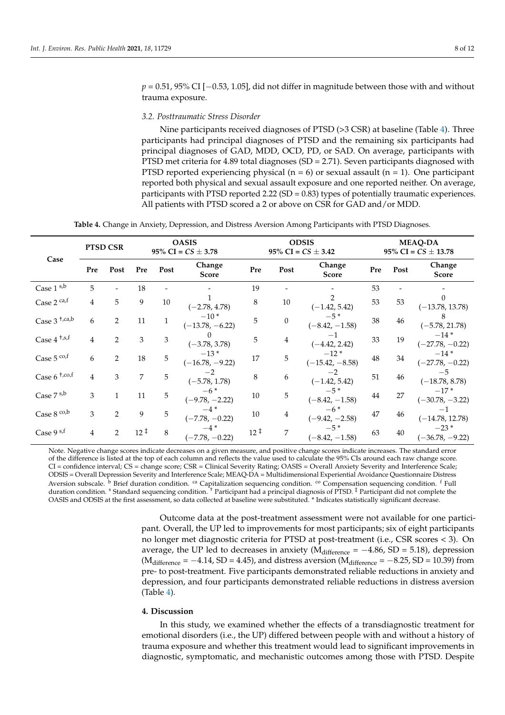*p* = 0.51, 95% CI [−0.53, 1.05], did not differ in magnitude between those with and without trauma exposure.

#### *3.2. Posttraumatic Stress Disorder*

Nine participants received diagnoses of PTSD (>3 CSR) at baseline (Table [4\)](#page-9-0). Three participants had principal diagnoses of PTSD and the remaining six participants had principal diagnoses of GAD, MDD, OCD, PD, or SAD. On average, participants with PTSD met criteria for 4.89 total diagnoses (SD = 2.71). Seven participants diagnosed with PTSD reported experiencing physical ( $n = 6$ ) or sexual assault ( $n = 1$ ). One participant reported both physical and sexual assault exposure and one reported neither. On average, participants with PTSD reported 2.22 (SD = 0.83) types of potentially traumatic experiences. All patients with PTSD scored a 2 or above on CSR for GAD and/or MDD.

**Table 4.** Change in Anxiety, Depression, and Distress Aversion Among Participants with PTSD Diagnoses.

<span id="page-9-0"></span>

|                            |                | <b>PTSD CSR</b> |                    | <b>OASIS</b><br>95% CI = $CS \pm 3.78$ |                             |                    | <b>ODSIS</b><br>95% CI = $CS \pm 3.42$ |                             |     | <b>MEAQ-DA</b><br>95% CI = $CS \pm 13.78$ |                             |  |
|----------------------------|----------------|-----------------|--------------------|----------------------------------------|-----------------------------|--------------------|----------------------------------------|-----------------------------|-----|-------------------------------------------|-----------------------------|--|
| Case                       | Pre            | Post            | Pre                | Post                                   | Change<br><b>Score</b>      | Pre                | Post                                   | Change<br><b>Score</b>      | Pre | Post                                      | Change<br><b>Score</b>      |  |
| Case $1^{s,b}$             | 5              |                 | 18                 |                                        |                             | 19                 |                                        |                             | 53  |                                           |                             |  |
| Case 2 ca,f                | 4              | 5               | 9                  | 10                                     | $(-2.78, 4.78)$             | 8                  | 10                                     | $(-1.42, 5.42)$             | 53  | 53                                        | $(-13.78, 13.78)$           |  |
| Case $3^{+,ca,b}$          | 6              | 2               | 11                 |                                        | $-10*$<br>$(-13.78, -6.22)$ | 5                  | $\mathbf{0}$                           | $-5*$<br>$(-8.42, -1.58)$   | 38  | 46                                        | $(-5.78, 21.78)$            |  |
| Case $4^{+,s,f}$           | 4              | 2               | 3                  | 3                                      | $(-3.78, 3.78)$             | 5                  | $\overline{4}$                         | $-1$<br>$(-4.42, 2.42)$     | 33  | 19                                        | $-14*$<br>$(-27.78, -0.22)$ |  |
| Case $5$ co,f              | 6              | $\overline{2}$  | 18                 | 5                                      | $-13*$<br>$(-16.78, -9.22)$ | 17                 | 5                                      | $-12*$<br>$(-15.42, -8.58)$ | 48  | 34                                        | $-14*$<br>$(-27.78, -0.22)$ |  |
| Case $6^{+, \text{co}, f}$ | 4              | 3               | 7                  | 5                                      | $(-5.78, 1.78)$             | 8                  | 6                                      | $(-1.42, 5.42)$             | 51  | 46                                        | $-5$<br>$(-18.78, 8.78)$    |  |
| Case 7 s,b                 | 3              | $\mathbf{1}$    | 11                 | 5                                      | $-6*$<br>$(-9.78, -2.22)$   | 10                 | 5                                      | $-5*$<br>$(-8.42, -1.58)$   | 44  | 27                                        | $-17*$<br>$(-30.78, -3.22)$ |  |
| Case $8^{\text{co,b}}$     | 3              | $\overline{2}$  | 9                  | 5                                      | $-4*$<br>$(-7.78, -0.22)$   | 10                 | 4                                      | $-6*$<br>$(-9.42, -2.58)$   | 47  | 46                                        | $-1$<br>$(-14.78, 12.78)$   |  |
| Case 9 s,f                 | $\overline{4}$ | 2               | $12^{\frac{1}{2}}$ | 8                                      | $(-7.78, -0.22)$            | $12^{\frac{1}{2}}$ | 7                                      | $-5*$<br>$(-8.42, -1.58)$   | 63  | 40                                        | $-23*$<br>$(-36.78, -9.22)$ |  |

Note. Negative change scores indicate decreases on a given measure, and positive change scores indicate increases. The standard error of the difference is listed at the top of each column and reflects the value used to calculate the 95% CIs around each raw change score. CI = confidence interval; CS = change score; CSR = Clinical Severity Rating; OASIS = Overall Anxiety Severity and Interference Scale; ODSIS = Overall Depression Severity and Interference Scale; MEAQ-DA = Multidimensional Experiential Avoidance Questionnaire Distress Aversion subscale.  $\rm^b$  Brief duration condition.  $\rm^{ca}$  Capitalization sequencing condition.  $\rm^co$  Compensation sequencing condition.  $\rm^f$  Full duration condition. <sup>s</sup> Standard sequencing condition. † Participant had a principal diagnosis of PTSD. ‡ Participant did not complete the OASIS and ODSIS at the first assessment, so data collected at baseline were substituted. \* Indicates statistically significant decrease.

> Outcome data at the post-treatment assessment were not available for one participant. Overall, the UP led to improvements for most participants; six of eight participants no longer met diagnostic criteria for PTSD at post-treatment (i.e., CSR scores < 3). On average, the UP led to decreases in anxiety ( $M<sub>difference</sub> = -4.86$ , SD = 5.18), depression  $(M<sub>difference</sub> = -4.14, SD = 4.45)$ , and distress aversion  $(M<sub>difference</sub> = -8.25, SD = 10.39)$  from pre- to post-treatment. Five participants demonstrated reliable reductions in anxiety and depression, and four participants demonstrated reliable reductions in distress aversion (Table [4\)](#page-9-0).

#### **4. Discussion**

In this study, we examined whether the effects of a transdiagnostic treatment for emotional disorders (i.e., the UP) differed between people with and without a history of trauma exposure and whether this treatment would lead to significant improvements in diagnostic, symptomatic, and mechanistic outcomes among those with PTSD. Despite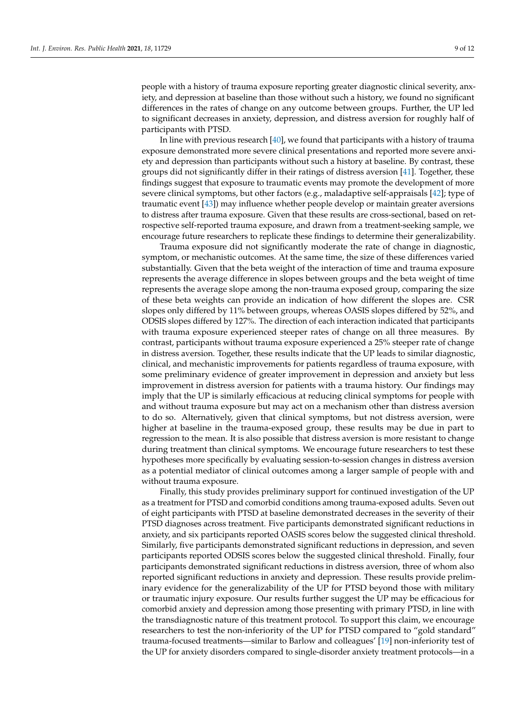people with a history of trauma exposure reporting greater diagnostic clinical severity, anxiety, and depression at baseline than those without such a history, we found no significant differences in the rates of change on any outcome between groups. Further, the UP led to significant decreases in anxiety, depression, and distress aversion for roughly half of participants with PTSD.

In line with previous research [\[40\]](#page-13-15), we found that participants with a history of trauma exposure demonstrated more severe clinical presentations and reported more severe anxiety and depression than participants without such a history at baseline. By contrast, these groups did not significantly differ in their ratings of distress aversion [\[41\]](#page-13-16). Together, these findings suggest that exposure to traumatic events may promote the development of more severe clinical symptoms, but other factors (e.g., maladaptive self-appraisals [\[42\]](#page-13-17); type of traumatic event [\[43\]](#page-13-18)) may influence whether people develop or maintain greater aversions to distress after trauma exposure. Given that these results are cross-sectional, based on retrospective self-reported trauma exposure, and drawn from a treatment-seeking sample, we encourage future researchers to replicate these findings to determine their generalizability.

Trauma exposure did not significantly moderate the rate of change in diagnostic, symptom, or mechanistic outcomes. At the same time, the size of these differences varied substantially. Given that the beta weight of the interaction of time and trauma exposure represents the average difference in slopes between groups and the beta weight of time represents the average slope among the non-trauma exposed group, comparing the size of these beta weights can provide an indication of how different the slopes are. CSR slopes only differed by 11% between groups, whereas OASIS slopes differed by 52%, and ODSIS slopes differed by 127%. The direction of each interaction indicated that participants with trauma exposure experienced steeper rates of change on all three measures. By contrast, participants without trauma exposure experienced a 25% steeper rate of change in distress aversion. Together, these results indicate that the UP leads to similar diagnostic, clinical, and mechanistic improvements for patients regardless of trauma exposure, with some preliminary evidence of greater improvement in depression and anxiety but less improvement in distress aversion for patients with a trauma history. Our findings may imply that the UP is similarly efficacious at reducing clinical symptoms for people with and without trauma exposure but may act on a mechanism other than distress aversion to do so. Alternatively, given that clinical symptoms, but not distress aversion, were higher at baseline in the trauma-exposed group, these results may be due in part to regression to the mean. It is also possible that distress aversion is more resistant to change during treatment than clinical symptoms. We encourage future researchers to test these hypotheses more specifically by evaluating session-to-session changes in distress aversion as a potential mediator of clinical outcomes among a larger sample of people with and without trauma exposure.

Finally, this study provides preliminary support for continued investigation of the UP as a treatment for PTSD and comorbid conditions among trauma-exposed adults. Seven out of eight participants with PTSD at baseline demonstrated decreases in the severity of their PTSD diagnoses across treatment. Five participants demonstrated significant reductions in anxiety, and six participants reported OASIS scores below the suggested clinical threshold. Similarly, five participants demonstrated significant reductions in depression, and seven participants reported ODSIS scores below the suggested clinical threshold. Finally, four participants demonstrated significant reductions in distress aversion, three of whom also reported significant reductions in anxiety and depression. These results provide preliminary evidence for the generalizability of the UP for PTSD beyond those with military or traumatic injury exposure. Our results further suggest the UP may be efficacious for comorbid anxiety and depression among those presenting with primary PTSD, in line with the transdiagnostic nature of this treatment protocol. To support this claim, we encourage researchers to test the non-inferiority of the UP for PTSD compared to "gold standard" trauma-focused treatments—similar to Barlow and colleagues' [\[19\]](#page-12-17) non-inferiority test of the UP for anxiety disorders compared to single-disorder anxiety treatment protocols—in a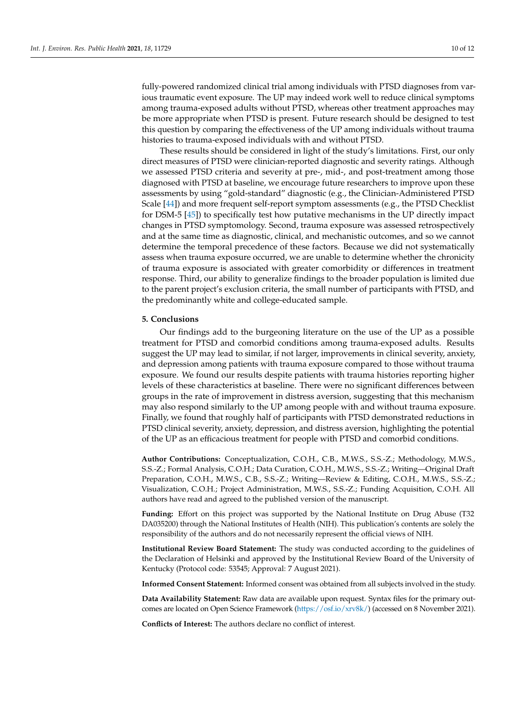fully-powered randomized clinical trial among individuals with PTSD diagnoses from various traumatic event exposure. The UP may indeed work well to reduce clinical symptoms among trauma-exposed adults without PTSD, whereas other treatment approaches may be more appropriate when PTSD is present. Future research should be designed to test this question by comparing the effectiveness of the UP among individuals without trauma histories to trauma-exposed individuals with and without PTSD.

These results should be considered in light of the study's limitations. First, our only direct measures of PTSD were clinician-reported diagnostic and severity ratings. Although we assessed PTSD criteria and severity at pre-, mid-, and post-treatment among those diagnosed with PTSD at baseline, we encourage future researchers to improve upon these assessments by using "gold-standard" diagnostic (e.g., the Clinician-Administered PTSD Scale [\[44\]](#page-13-19)) and more frequent self-report symptom assessments (e.g., the PTSD Checklist for DSM-5 [\[45\]](#page-13-20)) to specifically test how putative mechanisms in the UP directly impact changes in PTSD symptomology. Second, trauma exposure was assessed retrospectively and at the same time as diagnostic, clinical, and mechanistic outcomes, and so we cannot determine the temporal precedence of these factors. Because we did not systematically assess when trauma exposure occurred, we are unable to determine whether the chronicity of trauma exposure is associated with greater comorbidity or differences in treatment response. Third, our ability to generalize findings to the broader population is limited due to the parent project's exclusion criteria, the small number of participants with PTSD, and the predominantly white and college-educated sample.

#### **5. Conclusions**

Our findings add to the burgeoning literature on the use of the UP as a possible treatment for PTSD and comorbid conditions among trauma-exposed adults. Results suggest the UP may lead to similar, if not larger, improvements in clinical severity, anxiety, and depression among patients with trauma exposure compared to those without trauma exposure. We found our results despite patients with trauma histories reporting higher levels of these characteristics at baseline. There were no significant differences between groups in the rate of improvement in distress aversion, suggesting that this mechanism may also respond similarly to the UP among people with and without trauma exposure. Finally, we found that roughly half of participants with PTSD demonstrated reductions in PTSD clinical severity, anxiety, depression, and distress aversion, highlighting the potential of the UP as an efficacious treatment for people with PTSD and comorbid conditions.

**Author Contributions:** Conceptualization, C.O.H., C.B., M.W.S., S.S.-Z.; Methodology, M.W.S., S.S.-Z.; Formal Analysis, C.O.H.; Data Curation, C.O.H., M.W.S., S.S.-Z.; Writing—Original Draft Preparation, C.O.H., M.W.S., C.B., S.S.-Z.; Writing—Review & Editing, C.O.H., M.W.S., S.S.-Z.; Visualization, C.O.H.; Project Administration, M.W.S., S.S.-Z.; Funding Acquisition, C.O.H. All authors have read and agreed to the published version of the manuscript.

**Funding:** Effort on this project was supported by the National Institute on Drug Abuse (T32 DA035200) through the National Institutes of Health (NIH). This publication's contents are solely the responsibility of the authors and do not necessarily represent the official views of NIH.

**Institutional Review Board Statement:** The study was conducted according to the guidelines of the Declaration of Helsinki and approved by the Institutional Review Board of the University of Kentucky (Protocol code: 53545; Approval: 7 August 2021).

**Informed Consent Statement:** Informed consent was obtained from all subjects involved in the study.

**Data Availability Statement:** Raw data are available upon request. Syntax files for the primary outcomes are located on Open Science Framework [\(https://osf.io/xrv8k/\)](https://osf.io/xrv8k/) (accessed on 8 November 2021).

**Conflicts of Interest:** The authors declare no conflict of interest.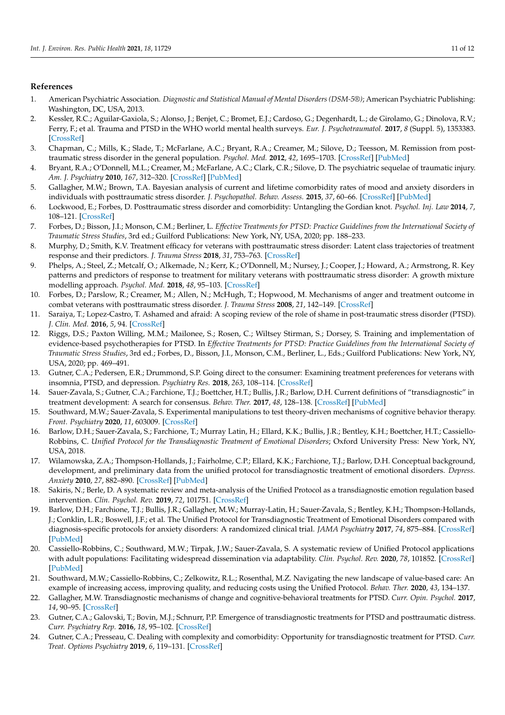#### **References**

- <span id="page-12-0"></span>1. American Psychiatric Association. *Diagnostic and Statistical Manual of Mental Disorders (DSM-5®)*; American Psychiatric Publishing: Washington, DC, USA, 2013.
- <span id="page-12-1"></span>2. Kessler, R.C.; Aguilar-Gaxiola, S.; Alonso, J.; Benjet, C.; Bromet, E.J.; Cardoso, G.; Degenhardt, L.; de Girolamo, G.; Dinolova, R.V.; Ferry, F.; et al. Trauma and PTSD in the WHO world mental health surveys. *Eur. J. Psychotraumatol.* **2017**, *8* (Suppl. 5), 1353383. [\[CrossRef\]](http://doi.org/10.1080/20008198.2017.1353383)
- <span id="page-12-2"></span>3. Chapman, C.; Mills, K.; Slade, T.; McFarlane, A.C.; Bryant, R.A.; Creamer, M.; Silove, D.; Teesson, M. Remission from posttraumatic stress disorder in the general population. *Psychol. Med.* **2012**, *42*, 1695–1703. [\[CrossRef\]](http://doi.org/10.1017/S0033291711002856) [\[PubMed\]](http://www.ncbi.nlm.nih.gov/pubmed/22166813)
- <span id="page-12-3"></span>4. Bryant, R.A.; O'Donnell, M.L.; Creamer, M.; McFarlane, A.C.; Clark, C.R.; Silove, D. The psychiatric sequelae of traumatic injury. *Am. J. Psychiatry* **2010**, *167*, 312–320. [\[CrossRef\]](http://doi.org/10.1176/appi.ajp.2009.09050617) [\[PubMed\]](http://www.ncbi.nlm.nih.gov/pubmed/20048022)
- <span id="page-12-4"></span>5. Gallagher, M.W.; Brown, T.A. Bayesian analysis of current and lifetime comorbidity rates of mood and anxiety disorders in individuals with posttraumatic stress disorder. *J. Psychopathol. Behav. Assess.* **2015**, *37*, 60–66. [\[CrossRef\]](http://doi.org/10.1007/s10862-014-9436-z) [\[PubMed\]](http://www.ncbi.nlm.nih.gov/pubmed/26166944)
- <span id="page-12-5"></span>6. Lockwood, E.; Forbes, D. Posttraumatic stress disorder and comorbidity: Untangling the Gordian knot. *Psychol. Inj. Law* **2014**, *7*, 108–121. [\[CrossRef\]](http://doi.org/10.1007/s12207-014-9189-8)
- <span id="page-12-6"></span>7. Forbes, D.; Bisson, J.I.; Monson, C.M.; Berliner, L. *Effective Treatments for PTSD: Practice Guidelines from the International Society of Traumatic Stress Studies*, 3rd ed.; Guilford Publications: New York, NY, USA, 2020; pp. 188–233.
- <span id="page-12-7"></span>8. Murphy, D.; Smith, K.V. Treatment efficacy for veterans with posttraumatic stress disorder: Latent class trajectories of treatment response and their predictors. *J. Trauma Stress* **2018**, *31*, 753–763. [\[CrossRef\]](http://doi.org/10.1002/jts.22333)
- <span id="page-12-8"></span>9. Phelps, A.; Steel, Z.; Metcalf, O.; Alkemade, N.; Kerr, K.; O'Donnell, M.; Nursey, J.; Cooper, J.; Howard, A.; Armstrong, R. Key patterns and predictors of response to treatment for military veterans with posttraumatic stress disorder: A growth mixture modelling approach. *Psychol. Med.* **2018**, *48*, 95–103. [\[CrossRef\]](http://doi.org/10.1017/S0033291717001404)
- 10. Forbes, D.; Parslow, R.; Creamer, M.; Allen, N.; McHugh, T.; Hopwood, M. Mechanisms of anger and treatment outcome in combat veterans with posttraumatic stress disorder. *J. Trauma Stress* **2008**, *21*, 142–149. [\[CrossRef\]](http://doi.org/10.1002/jts.20315)
- <span id="page-12-9"></span>11. Saraiya, T.; Lopez-Castro, T. Ashamed and afraid: A scoping review of the role of shame in post-traumatic stress disorder (PTSD). *J. Clin. Med.* **2016**, *5*, 94. [\[CrossRef\]](http://doi.org/10.3390/jcm5110094)
- <span id="page-12-10"></span>12. Riggs, D.S.; Paxton Willing, M.M.; Mailonee, S.; Rosen, C.; Wiltsey Stirman, S.; Dorsey, S. Training and implementation of evidence-based psychotherapies for PTSD. In *Effective Treatments for PTSD: Practice Guidelines from the International Society of Traumatic Stress Studies*, 3rd ed.; Forbes, D., Bisson, J.I., Monson, C.M., Berliner, L., Eds.; Guilford Publications: New York, NY, USA, 2020; pp. 469–491.
- <span id="page-12-11"></span>13. Gutner, C.A.; Pedersen, E.R.; Drummond, S.P. Going direct to the consumer: Examining treatment preferences for veterans with insomnia, PTSD, and depression. *Psychiatry Res.* **2018**, *263*, 108–114. [\[CrossRef\]](http://doi.org/10.1016/j.psychres.2018.02.045)
- <span id="page-12-12"></span>14. Sauer-Zavala, S.; Gutner, C.A.; Farchione, T.J.; Boettcher, H.T.; Bullis, J.R.; Barlow, D.H. Current definitions of "transdiagnostic" in treatment development: A search for consensus. *Behav. Ther.* **2017**, *48*, 128–138. [\[CrossRef\]](http://doi.org/10.1016/j.beth.2016.09.004) [\[PubMed\]](http://www.ncbi.nlm.nih.gov/pubmed/28077216)
- <span id="page-12-13"></span>15. Southward, M.W.; Sauer-Zavala, S. Experimental manipulations to test theory-driven mechanisms of cognitive behavior therapy. *Front. Psychiatry* **2020**, *11*, 603009. [\[CrossRef\]](http://doi.org/10.3389/fpsyt.2020.603009)
- <span id="page-12-14"></span>16. Barlow, D.H.; Sauer-Zavala, S.; Farchione, T.; Murray Latin, H.; Ellard, K.K.; Bullis, J.R.; Bentley, K.H.; Boettcher, H.T.; Cassiello-Robbins, C. *Unified Protocol for the Transdiagnostic Treatment of Emotional Disorders*; Oxford University Press: New York, NY, USA, 2018.
- <span id="page-12-15"></span>17. Wilamowska, Z.A.; Thompson-Hollands, J.; Fairholme, C.P.; Ellard, K.K.; Farchione, T.J.; Barlow, D.H. Conceptual background, development, and preliminary data from the unified protocol for transdiagnostic treatment of emotional disorders. *Depress. Anxiety* **2010**, *27*, 882–890. [\[CrossRef\]](http://doi.org/10.1002/da.20735) [\[PubMed\]](http://www.ncbi.nlm.nih.gov/pubmed/20886609)
- <span id="page-12-16"></span>18. Sakiris, N.; Berle, D. A systematic review and meta-analysis of the Unified Protocol as a transdiagnostic emotion regulation based intervention. *Clin. Psychol. Rev.* **2019**, *72*, 101751. [\[CrossRef\]](http://doi.org/10.1016/j.cpr.2019.101751)
- <span id="page-12-17"></span>19. Barlow, D.H.; Farchione, T.J.; Bullis, J.R.; Gallagher, M.W.; Murray-Latin, H.; Sauer-Zavala, S.; Bentley, K.H.; Thompson-Hollands, J.; Conklin, L.R.; Boswell, J.F.; et al. The Unified Protocol for Transdiagnostic Treatment of Emotional Disorders compared with diagnosis-specific protocols for anxiety disorders: A randomized clinical trial. *JAMA Psychiatry* **2017**, *74*, 875–884. [\[CrossRef\]](http://doi.org/10.1001/jamapsychiatry.2017.2164) [\[PubMed\]](http://www.ncbi.nlm.nih.gov/pubmed/28768327)
- <span id="page-12-18"></span>20. Cassiello-Robbins, C.; Southward, M.W.; Tirpak, J.W.; Sauer-Zavala, S. A systematic review of Unified Protocol applications with adult populations: Facilitating widespread dissemination via adaptability. *Clin. Psychol. Rev.* **2020**, *78*, 101852. [\[CrossRef\]](http://doi.org/10.1016/j.cpr.2020.101852) [\[PubMed\]](http://www.ncbi.nlm.nih.gov/pubmed/32360953)
- <span id="page-12-19"></span>21. Southward, M.W.; Cassiello-Robbins, C.; Zelkowitz, R.L.; Rosenthal, M.Z. Navigating the new landscape of value-based care: An example of increasing access, improving quality, and reducing costs using the Unified Protocol. *Behav. Ther.* **2020**, *43*, 134–137.
- <span id="page-12-20"></span>22. Gallagher, M.W. Transdiagnostic mechanisms of change and cognitive-behavioral treatments for PTSD. *Curr. Opin. Psychol.* **2017**, *14*, 90–95. [\[CrossRef\]](http://doi.org/10.1016/j.copsyc.2016.12.002)
- 23. Gutner, C.A.; Galovski, T.; Bovin, M.J.; Schnurr, P.P. Emergence of transdiagnostic treatments for PTSD and posttraumatic distress. *Curr. Psychiatry Rep.* **2016**, *18*, 95–102. [\[CrossRef\]](http://doi.org/10.1007/s11920-016-0734-x)
- <span id="page-12-21"></span>24. Gutner, C.A.; Presseau, C. Dealing with complexity and comorbidity: Opportunity for transdiagnostic treatment for PTSD. *Curr. Treat. Options Psychiatry* **2019**, *6*, 119–131. [\[CrossRef\]](http://doi.org/10.1007/s40501-019-00170-2)